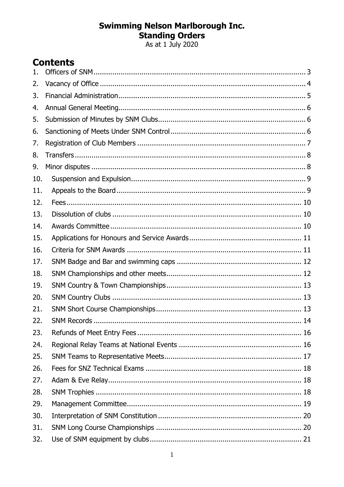# **Swimming Nelson Marlborough Inc.<br>Standing Orders<br>As at 1 July 2020**

# **Contents**

| 1.  |  |
|-----|--|
| 2.  |  |
| 3.  |  |
| 4.  |  |
| 5.  |  |
| 6.  |  |
| 7.  |  |
| 8.  |  |
| 9.  |  |
| 10. |  |
| 11. |  |
| 12. |  |
| 13. |  |
| 14. |  |
| 15. |  |
| 16. |  |
| 17. |  |
| 18. |  |
| 19. |  |
| 20. |  |
| 21. |  |
| 22. |  |
| 23. |  |
| 24. |  |
| 25. |  |
| 26. |  |
| 27. |  |
| 28. |  |
| 29. |  |
| 30. |  |
| 31. |  |
| 32. |  |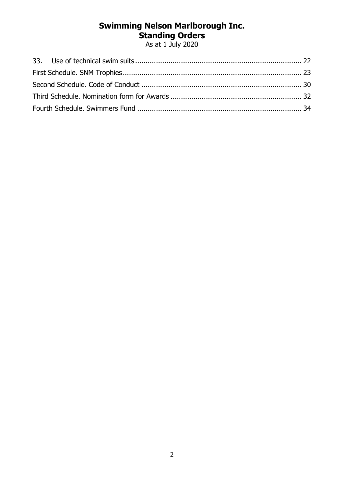As at 1 July 2020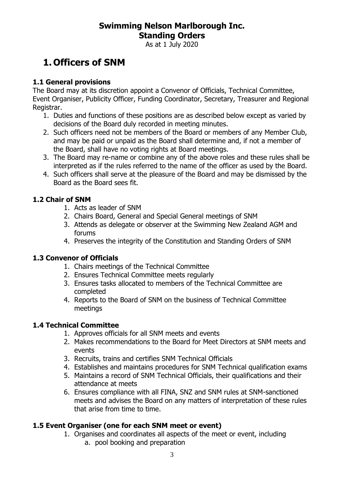As at 1 July 2020

# <span id="page-2-0"></span>**1. Officers of SNM**

#### **1.1 General provisions**

The Board may at its discretion appoint a Convenor of Officials, Technical Committee, Event Organiser, Publicity Officer, Funding Coordinator, Secretary, Treasurer and Regional Registrar.

- 1. Duties and functions of these positions are as described below except as varied by decisions of the Board duly recorded in meeting minutes.
- 2. Such officers need not be members of the Board or members of any Member Club, and may be paid or unpaid as the Board shall determine and, if not a member of the Board, shall have no voting rights at Board meetings.
- 3. The Board may re-name or combine any of the above roles and these rules shall be interpreted as if the rules referred to the name of the officer as used by the Board.
- 4. Such officers shall serve at the pleasure of the Board and may be dismissed by the Board as the Board sees fit.

#### **1.2 Chair of SNM**

- 1. Acts as leader of SNM
- 2. Chairs Board, General and Special General meetings of SNM
- 3. Attends as delegate or observer at the Swimming New Zealand AGM and forums
- 4. Preserves the integrity of the Constitution and Standing Orders of SNM

#### **1.3 Convenor of Officials**

- 1. Chairs meetings of the Technical Committee
- 2. Ensures Technical Committee meets regularly
- 3. Ensures tasks allocated to members of the Technical Committee are completed
- 4. Reports to the Board of SNM on the business of Technical Committee meetings

#### **1.4 Technical Committee**

- 1. Approves officials for all SNM meets and events
- 2. Makes recommendations to the Board for Meet Directors at SNM meets and events
- 3. Recruits, trains and certifies SNM Technical Officials
- 4. Establishes and maintains procedures for SNM Technical qualification exams
- 5. Maintains a record of SNM Technical Officials, their qualifications and their attendance at meets
- 6. Ensures compliance with all FINA, SNZ and SNM rules at SNM-sanctioned meets and advises the Board on any matters of interpretation of these rules that arise from time to time.

#### **1.5 Event Organiser (one for each SNM meet or event)**

1. Organises and coordinates all aspects of the meet or event, including a. pool booking and preparation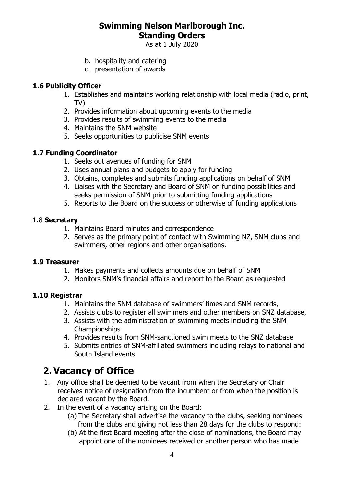As at 1 July 2020

- b. hospitality and catering
- c. presentation of awards

#### **1.6 Publicity Officer**

- 1. Establishes and maintains working relationship with local media (radio, print, TV)
- 2. Provides information about upcoming events to the media
- 3. Provides results of swimming events to the media
- 4. Maintains the SNM website
- 5. Seeks opportunities to publicise SNM events

#### **1.7 Funding Coordinator**

- 1. Seeks out avenues of funding for SNM
- 2. Uses annual plans and budgets to apply for funding
- 3. Obtains, completes and submits funding applications on behalf of SNM
- 4. Liaises with the Secretary and Board of SNM on funding possibilities and seeks permission of SNM prior to submitting funding applications
- 5. Reports to the Board on the success or otherwise of funding applications

#### 1.8 **Secretary**

- 1. Maintains Board minutes and correspondence
- 2. Serves as the primary point of contact with Swimming NZ, SNM clubs and swimmers, other regions and other organisations.

#### **1.9 Treasurer**

- 1. Makes payments and collects amounts due on behalf of SNM
- 2. Monitors SNM's financial affairs and report to the Board as requested

#### **1.10 Registrar**

- 1. Maintains the SNM database of swimmers' times and SNM records,
- 2. Assists clubs to register all swimmers and other members on SNZ database,
- 3. Assists with the administration of swimming meets including the SNM Championships
- 4. Provides results from SNM-sanctioned swim meets to the SNZ database
- 5. Submits entries of SNM-affiliated swimmers including relays to national and South Island events

# <span id="page-3-0"></span>**2. Vacancy of Office**

- 1. Any office shall be deemed to be vacant from when the Secretary or Chair receives notice of resignation from the incumbent or from when the position is declared vacant by the Board.
- 2. In the event of a vacancy arising on the Board:
	- (a) The Secretary shall advertise the vacancy to the clubs, seeking nominees from the clubs and giving not less than 28 days for the clubs to respond:
	- (b) At the first Board meeting after the close of nominations, the Board may appoint one of the nominees received or another person who has made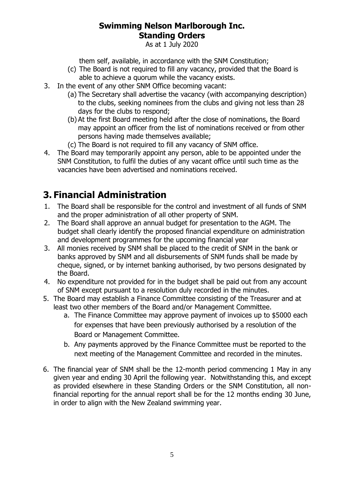As at 1 July 2020

them self, available, in accordance with the SNM Constitution;

- (c) The Board is not required to fill any vacancy, provided that the Board is able to achieve a quorum while the vacancy exists.
- 3. In the event of any other SNM Office becoming vacant:
	- (a) The Secretary shall advertise the vacancy (with accompanying description) to the clubs, seeking nominees from the clubs and giving not less than 28 days for the clubs to respond;
	- (b) At the first Board meeting held after the close of nominations, the Board may appoint an officer from the list of nominations received or from other persons having made themselves available;
	- (c) The Board is not required to fill any vacancy of SNM office.
- 4. The Board may temporarily appoint any person, able to be appointed under the SNM Constitution, to fulfil the duties of any vacant office until such time as the vacancies have been advertised and nominations received.

# <span id="page-4-0"></span>**3. Financial Administration**

- 1. The Board shall be responsible for the control and investment of all funds of SNM and the proper administration of all other property of SNM.
- 2. The Board shall approve an annual budget for presentation to the AGM. The budget shall clearly identify the proposed financial expenditure on administration and development programmes for the upcoming financial year
- 3. All monies received by SNM shall be placed to the credit of SNM in the bank or banks approved by SNM and all disbursements of SNM funds shall be made by cheque, signed, or by internet banking authorised, by two persons designated by the Board.
- 4. No expenditure not provided for in the budget shall be paid out from any account of SNM except pursuant to a resolution duly recorded in the minutes.
- 5. The Board may establish a Finance Committee consisting of the Treasurer and at least two other members of the Board and/or Management Committee.
	- a. The Finance Committee may approve payment of invoices up to \$5000 each for expenses that have been previously authorised by a resolution of the Board or Management Committee.
	- b. Any payments approved by the Finance Committee must be reported to the next meeting of the Management Committee and recorded in the minutes.
- 6. The financial year of SNM shall be the 12-month period commencing 1 May in any given year and ending 30 April the following year. Notwithstanding this, and except as provided elsewhere in these Standing Orders or the SNM Constitution, all nonfinancial reporting for the annual report shall be for the 12 months ending 30 June, in order to align with the New Zealand swimming year.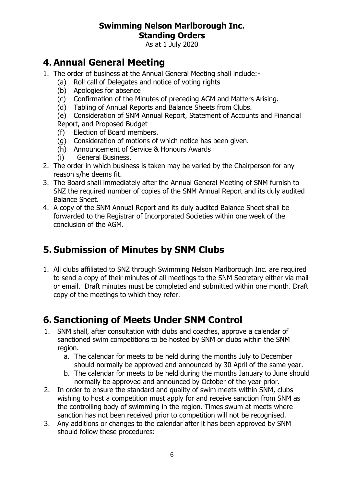As at 1 July 2020

# <span id="page-5-0"></span>**4. Annual General Meeting**

- 1. The order of business at the Annual General Meeting shall include:-
	- (a) Roll call of Delegates and notice of voting rights
	- (b) Apologies for absence
	- (c) Confirmation of the Minutes of preceding AGM and Matters Arising.
	- (d) Tabling of Annual Reports and Balance Sheets from Clubs.

(e) Consideration of SNM Annual Report, Statement of Accounts and Financial Report, and Proposed Budget

- (f) Election of Board members.
- (g) Consideration of motions of which notice has been given.
- (h) Announcement of Service & Honours Awards
- (i) General Business.
- 2. The order in which business is taken may be varied by the Chairperson for any reason s/he deems fit.
- 3. The Board shall immediately after the Annual General Meeting of SNM furnish to SNZ the required number of copies of the SNM Annual Report and its duly audited Balance Sheet.
- 4. A copy of the SNM Annual Report and its duly audited Balance Sheet shall be forwarded to the Registrar of Incorporated Societies within one week of the conclusion of the AGM.

# <span id="page-5-1"></span>**5. Submission of Minutes by SNM Clubs**

1. All clubs affiliated to SNZ through Swimming Nelson Marlborough Inc. are required to send a copy of their minutes of all meetings to the SNM Secretary either via mail or email. Draft minutes must be completed and submitted within one month. Draft copy of the meetings to which they refer.

# <span id="page-5-2"></span>**6. Sanctioning of Meets Under SNM Control**

- 1. SNM shall, after consultation with clubs and coaches, approve a calendar of sanctioned swim competitions to be hosted by SNM or clubs within the SNM region.
	- a. The calendar for meets to be held during the months July to December should normally be approved and announced by 30 April of the same year.
	- b. The calendar for meets to be held during the months January to June should normally be approved and announced by October of the year prior.
- 2. In order to ensure the standard and quality of swim meets within SNM, clubs wishing to host a competition must apply for and receive sanction from SNM as the controlling body of swimming in the region. Times swum at meets where sanction has not been received prior to competition will not be recognised.
- 3. Any additions or changes to the calendar after it has been approved by SNM should follow these procedures: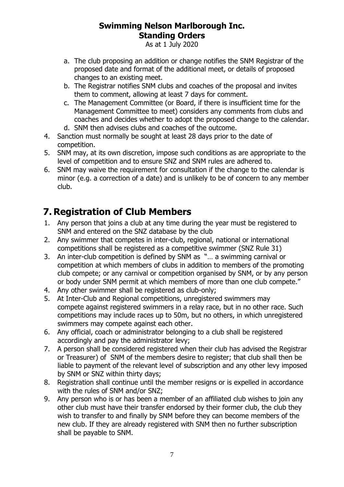As at 1 July 2020

- a. The club proposing an addition or change notifies the SNM Registrar of the proposed date and format of the additional meet, or details of proposed changes to an existing meet.
- b. The Registrar notifies SNM clubs and coaches of the proposal and invites them to comment, allowing at least 7 days for comment.
- c. The Management Committee (or Board, if there is insufficient time for the Management Committee to meet) considers any comments from clubs and coaches and decides whether to adopt the proposed change to the calendar.
- d. SNM then advises clubs and coaches of the outcome.
- 4. Sanction must normally be sought at least 28 days prior to the date of competition.
- 5. SNM may, at its own discretion, impose such conditions as are appropriate to the level of competition and to ensure SNZ and SNM rules are adhered to.
- 6. SNM may waive the requirement for consultation if the change to the calendar is minor (e.g. a correction of a date) and is unlikely to be of concern to any member club.

# <span id="page-6-0"></span>**7. Registration of Club Members**

- 1. Any person that joins a club at any time during the year must be registered to SNM and entered on the SNZ database by the club
- 2. Any swimmer that competes in inter-club, regional, national or international competitions shall be registered as a competitive swimmer (SNZ Rule 31)
- 3. An inter-club competition is defined by SNM as "… a swimming carnival or competition at which members of clubs in addition to members of the promoting club compete; or any carnival or competition organised by SNM, or by any person or body under SNM permit at which members of more than one club compete."
- 4. Any other swimmer shall be registered as club-only;
- 5. At Inter-Club and Regional competitions, unregistered swimmers may compete against registered swimmers in a relay race, but in no other race. Such competitions may include races up to 50m, but no others, in which unregistered swimmers may compete against each other.
- 6. Any official, coach or administrator belonging to a club shall be registered accordingly and pay the administrator levy;
- 7. A person shall be considered registered when their club has advised the Registrar or Treasurer) of SNM of the members desire to register; that club shall then be liable to payment of the relevant level of subscription and any other levy imposed by SNM or SNZ within thirty days;
- 8. Registration shall continue until the member resigns or is expelled in accordance with the rules of SNM and/or SNZ;
- 9. Any person who is or has been a member of an affiliated club wishes to join any other club must have their transfer endorsed by their former club, the club they wish to transfer to and finally by SNM before they can become members of the new club. If they are already registered with SNM then no further subscription shall be payable to SNM.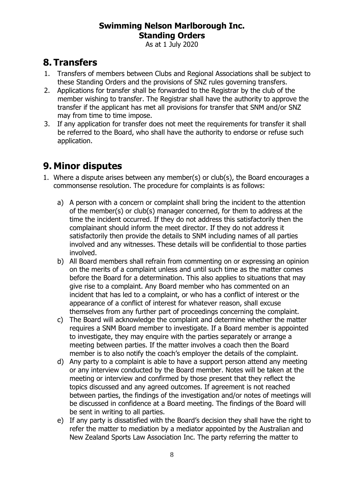As at 1 July 2020

# <span id="page-7-0"></span>**8. Transfers**

- 1. Transfers of members between Clubs and Regional Associations shall be subject to these Standing Orders and the provisions of SNZ rules governing transfers.
- 2. Applications for transfer shall be forwarded to the Registrar by the club of the member wishing to transfer. The Registrar shall have the authority to approve the transfer if the applicant has met all provisions for transfer that SNM and/or SNZ may from time to time impose.
- 3. If any application for transfer does not meet the requirements for transfer it shall be referred to the Board, who shall have the authority to endorse or refuse such application.

# <span id="page-7-1"></span>**9. Minor disputes**

- 1. Where a dispute arises between any member(s) or club(s), the Board encourages a commonsense resolution. The procedure for complaints is as follows:
	- a) A person with a concern or complaint shall bring the incident to the attention of the member(s) or club(s) manager concerned, for them to address at the time the incident occurred. If they do not address this satisfactorily then the complainant should inform the meet director. If they do not address it satisfactorily then provide the details to SNM including names of all parties involved and any witnesses. These details will be confidential to those parties involved.
	- b) All Board members shall refrain from commenting on or expressing an opinion on the merits of a complaint unless and until such time as the matter comes before the Board for a determination. This also applies to situations that may give rise to a complaint. Any Board member who has commented on an incident that has led to a complaint, or who has a conflict of interest or the appearance of a conflict of interest for whatever reason, shall excuse themselves from any further part of proceedings concerning the complaint.
	- c) The Board will acknowledge the complaint and determine whether the matter requires a SNM Board member to investigate. If a Board member is appointed to investigate, they may enquire with the parties separately or arrange a meeting between parties. If the matter involves a coach then the Board member is to also notify the coach's employer the details of the complaint.
	- d) Any party to a complaint is able to have a support person attend any meeting or any interview conducted by the Board member. Notes will be taken at the meeting or interview and confirmed by those present that they reflect the topics discussed and any agreed outcomes. If agreement is not reached between parties, the findings of the investigation and/or notes of meetings will be discussed in confidence at a Board meeting. The findings of the Board will be sent in writing to all parties.
	- e) If any party is dissatisfied with the Board's decision they shall have the right to refer the matter to mediation by a mediator appointed by the Australian and New Zealand Sports Law Association Inc. The party referring the matter to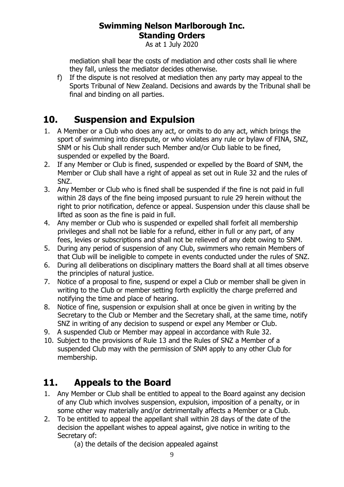As at 1 July 2020

mediation shall bear the costs of mediation and other costs shall lie where they fall, unless the mediator decides otherwise.

f) If the dispute is not resolved at mediation then any party may appeal to the Sports Tribunal of New Zealand. Decisions and awards by the Tribunal shall be final and binding on all parties.

# <span id="page-8-0"></span>**10. Suspension and Expulsion**

- 1. A Member or a Club who does any act, or omits to do any act, which brings the sport of swimming into disrepute, or who violates any rule or bylaw of FINA, SNZ, SNM or his Club shall render such Member and/or Club liable to be fined, suspended or expelled by the Board.
- 2. If any Member or Club is fined, suspended or expelled by the Board of SNM, the Member or Club shall have a right of appeal as set out in Rule 32 and the rules of SNZ.
- 3. Any Member or Club who is fined shall be suspended if the fine is not paid in full within 28 days of the fine being imposed pursuant to rule 29 herein without the right to prior notification, defence or appeal. Suspension under this clause shall be lifted as soon as the fine is paid in full.
- 4. Any member or Club who is suspended or expelled shall forfeit all membership privileges and shall not be liable for a refund, either in full or any part, of any fees, levies or subscriptions and shall not be relieved of any debt owing to SNM.
- 5. During any period of suspension of any Club, swimmers who remain Members of that Club will be ineligible to compete in events conducted under the rules of SNZ.
- 6. During all deliberations on disciplinary matters the Board shall at all times observe the principles of natural justice.
- 7. Notice of a proposal to fine, suspend or expel a Club or member shall be given in writing to the Club or member setting forth explicitly the charge preferred and notifying the time and place of hearing.
- 8. Notice of fine, suspension or expulsion shall at once be given in writing by the Secretary to the Club or Member and the Secretary shall, at the same time, notify SNZ in writing of any decision to suspend or expel any Member or Club.
- 9. A suspended Club or Member may appeal in accordance with Rule 32.
- 10. Subject to the provisions of Rule 13 and the Rules of SNZ a Member of a suspended Club may with the permission of SNM apply to any other Club for membership.

# <span id="page-8-1"></span>**11. Appeals to the Board**

- 1. Any Member or Club shall be entitled to appeal to the Board against any decision of any Club which involves suspension, expulsion, imposition of a penalty, or in some other way materially and/or detrimentally affects a Member or a Club.
- 2. To be entitled to appeal the appellant shall within 28 days of the date of the decision the appellant wishes to appeal against, give notice in writing to the Secretary of:
	- (a) the details of the decision appealed against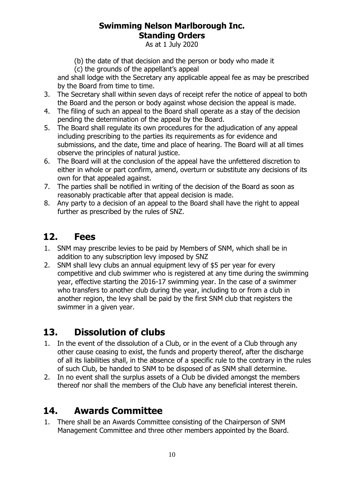As at 1 July 2020

(b) the date of that decision and the person or body who made it

(c) the grounds of the appellant's appeal

and shall lodge with the Secretary any applicable appeal fee as may be prescribed by the Board from time to time.

- 3. The Secretary shall within seven days of receipt refer the notice of appeal to both the Board and the person or body against whose decision the appeal is made.
- 4. The filing of such an appeal to the Board shall operate as a stay of the decision pending the determination of the appeal by the Board.
- 5. The Board shall regulate its own procedures for the adjudication of any appeal including prescribing to the parties its requirements as for evidence and submissions, and the date, time and place of hearing. The Board will at all times observe the principles of natural justice.
- 6. The Board will at the conclusion of the appeal have the unfettered discretion to either in whole or part confirm, amend, overturn or substitute any decisions of its own for that appealed against.
- 7. The parties shall be notified in writing of the decision of the Board as soon as reasonably practicable after that appeal decision is made.
- 8. Any party to a decision of an appeal to the Board shall have the right to appeal further as prescribed by the rules of SNZ.

# <span id="page-9-0"></span>**12. Fees**

- 1. SNM may prescribe levies to be paid by Members of SNM, which shall be in addition to any subscription levy imposed by SNZ
- 2. SNM shall levy clubs an annual equipment levy of \$5 per year for every competitive and club swimmer who is registered at any time during the swimming year, effective starting the 2016-17 swimming year. In the case of a swimmer who transfers to another club during the year, including to or from a club in another region, the levy shall be paid by the first SNM club that registers the swimmer in a given year.

# <span id="page-9-1"></span>**13. Dissolution of clubs**

- 1. In the event of the dissolution of a Club, or in the event of a Club through any other cause ceasing to exist, the funds and property thereof, after the discharge of all its liabilities shall, in the absence of a specific rule to the contrary in the rules of such Club, be handed to SNM to be disposed of as SNM shall determine.
- 2. In no event shall the surplus assets of a Club be divided amongst the members thereof nor shall the members of the Club have any beneficial interest therein.

# <span id="page-9-2"></span>**14. Awards Committee**

1. There shall be an Awards Committee consisting of the Chairperson of SNM Management Committee and three other members appointed by the Board.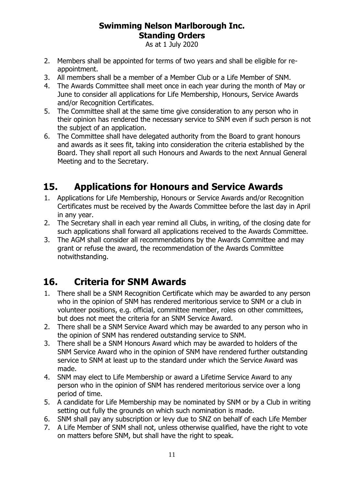As at 1 July 2020

- 2. Members shall be appointed for terms of two years and shall be eligible for reappointment.
- 3. All members shall be a member of a Member Club or a Life Member of SNM.
- 4. The Awards Committee shall meet once in each year during the month of May or June to consider all applications for Life Membership, Honours, Service Awards and/or Recognition Certificates.
- 5. The Committee shall at the same time give consideration to any person who in their opinion has rendered the necessary service to SNM even if such person is not the subject of an application.
- 6. The Committee shall have delegated authority from the Board to grant honours and awards as it sees fit, taking into consideration the criteria established by the Board. They shall report all such Honours and Awards to the next Annual General Meeting and to the Secretary.

# <span id="page-10-0"></span>**15. Applications for Honours and Service Awards**

- 1. Applications for Life Membership, Honours or Service Awards and/or Recognition Certificates must be received by the Awards Committee before the last day in April in any year.
- 2. The Secretary shall in each year remind all Clubs, in writing, of the closing date for such applications shall forward all applications received to the Awards Committee.
- 3. The AGM shall consider all recommendations by the Awards Committee and may grant or refuse the award, the recommendation of the Awards Committee notwithstanding.

# <span id="page-10-1"></span>**16. Criteria for SNM Awards**

- 1. There shall be a SNM Recognition Certificate which may be awarded to any person who in the opinion of SNM has rendered meritorious service to SNM or a club in volunteer positions, e.g. official, committee member, roles on other committees, but does not meet the criteria for an SNM Service Award.
- 2. There shall be a SNM Service Award which may be awarded to any person who in the opinion of SNM has rendered outstanding service to SNM.
- 3. There shall be a SNM Honours Award which may be awarded to holders of the SNM Service Award who in the opinion of SNM have rendered further outstanding service to SNM at least up to the standard under which the Service Award was made.
- 4. SNM may elect to Life Membership or award a Lifetime Service Award to any person who in the opinion of SNM has rendered meritorious service over a long period of time.
- 5. A candidate for Life Membership may be nominated by SNM or by a Club in writing setting out fully the grounds on which such nomination is made.
- 6. SNM shall pay any subscription or levy due to SNZ on behalf of each Life Member
- 7. A Life Member of SNM shall not, unless otherwise qualified, have the right to vote on matters before SNM, but shall have the right to speak.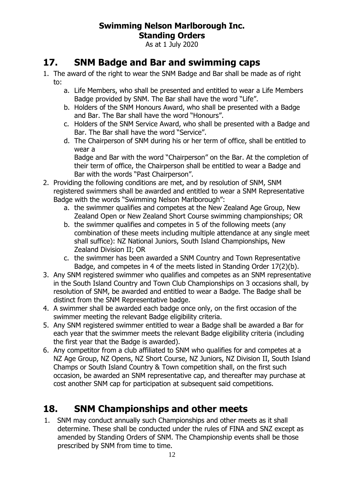As at 1 July 2020

## <span id="page-11-0"></span>**17. SNM Badge and Bar and swimming caps**

- 1. The award of the right to wear the SNM Badge and Bar shall be made as of right to:
	- a. Life Members, who shall be presented and entitled to wear a Life Members Badge provided by SNM. The Bar shall have the word "Life".
	- b. Holders of the SNM Honours Award, who shall be presented with a Badge and Bar. The Bar shall have the word "Honours".
	- c. Holders of the SNM Service Award, who shall be presented with a Badge and Bar. The Bar shall have the word "Service".
	- d. The Chairperson of SNM during his or her term of office, shall be entitled to wear a

Badge and Bar with the word "Chairperson" on the Bar. At the completion of their term of office, the Chairperson shall be entitled to wear a Badge and Bar with the words "Past Chairperson".

- 2. Providing the following conditions are met, and by resolution of SNM, SNM registered swimmers shall be awarded and entitled to wear a SNM Representative Badge with the words "Swimming Nelson Marlborough":
	- a. the swimmer qualifies and competes at the New Zealand Age Group, New Zealand Open or New Zealand Short Course swimming championships; OR
	- b. the swimmer qualifies and competes in 5 of the following meets (any combination of these meets including multiple attendance at any single meet shall suffice): NZ National Juniors, South Island Championships, New Zealand Division II; OR
	- c. the swimmer has been awarded a SNM Country and Town Representative Badge, and competes in 4 of the meets listed in Standing Order 17(2)(b).
- 3. Any SNM registered swimmer who qualifies and competes as an SNM representative in the South Island Country and Town Club Championships on 3 occasions shall, by resolution of SNM, be awarded and entitled to wear a Badge. The Badge shall be distinct from the SNM Representative badge.
- 4. A swimmer shall be awarded each badge once only, on the first occasion of the swimmer meeting the relevant Badge eligibility criteria.
- 5. Any SNM registered swimmer entitled to wear a Badge shall be awarded a Bar for each year that the swimmer meets the relevant Badge eligibility criteria (including the first year that the Badge is awarded).
- 6. Any competitor from a club affiliated to SNM who qualifies for and competes at a NZ Age Group, NZ Opens, NZ Short Course, NZ Juniors, NZ Division II, South Island Champs or South Island Country & Town competition shall, on the first such occasion, be awarded an SNM representative cap, and thereafter may purchase at cost another SNM cap for participation at subsequent said competitions.

# <span id="page-11-1"></span>**18. SNM Championships and other meets**

1. SNM may conduct annually such Championships and other meets as it shall determine. These shall be conducted under the rules of FINA and SNZ except as amended by Standing Orders of SNM. The Championship events shall be those prescribed by SNM from time to time.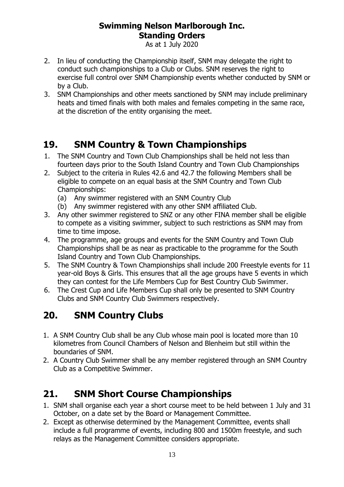As at 1 July 2020

- 2. In lieu of conducting the Championship itself, SNM may delegate the right to conduct such championships to a Club or Clubs. SNM reserves the right to exercise full control over SNM Championship events whether conducted by SNM or by a Club.
- 3. SNM Championships and other meets sanctioned by SNM may include preliminary heats and timed finals with both males and females competing in the same race, at the discretion of the entity organising the meet.

# <span id="page-12-0"></span>**19. SNM Country & Town Championships**

- 1. The SNM Country and Town Club Championships shall be held not less than fourteen days prior to the South Island Country and Town Club Championships
- 2. Subject to the criteria in Rules 42.6 and 42.7 the following Members shall be eligible to compete on an equal basis at the SNM Country and Town Club Championships:
	- (a) Any swimmer registered with an SNM Country Club
	- (b) Any swimmer registered with any other SNM affiliated Club.
- 3. Any other swimmer registered to SNZ or any other FINA member shall be eligible to compete as a visiting swimmer, subject to such restrictions as SNM may from time to time impose.
- 4. The programme, age groups and events for the SNM Country and Town Club Championships shall be as near as practicable to the programme for the South Island Country and Town Club Championships.
- 5. The SNM Country & Town Championships shall include 200 Freestyle events for 11 year-old Boys & Girls. This ensures that all the age groups have 5 events in which they can contest for the Life Members Cup for Best Country Club Swimmer.
- 6. The Crest Cup and Life Members Cup shall only be presented to SNM Country Clubs and SNM Country Club Swimmers respectively.

# <span id="page-12-1"></span>**20. SNM Country Clubs**

- 1. A SNM Country Club shall be any Club whose main pool is located more than 10 kilometres from Council Chambers of Nelson and Blenheim but still within the boundaries of SNM.
- 2. A Country Club Swimmer shall be any member registered through an SNM Country Club as a Competitive Swimmer.

# <span id="page-12-2"></span>**21. SNM Short Course Championships**

- 1. SNM shall organise each year a short course meet to be held between 1 July and 31 October, on a date set by the Board or Management Committee.
- 2. Except as otherwise determined by the Management Committee, events shall include a full programme of events, including 800 and 1500m freestyle, and such relays as the Management Committee considers appropriate.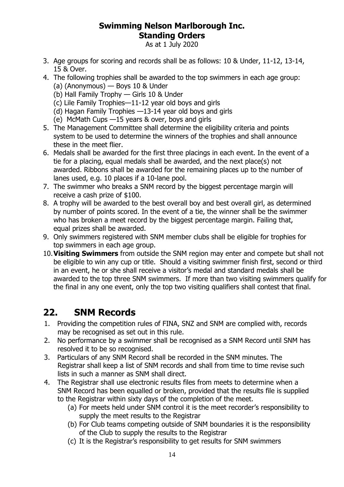As at 1 July 2020

- 3. Age groups for scoring and records shall be as follows: 10 & Under, 11-12, 13-14, 15 & Over.
- 4. The following trophies shall be awarded to the top swimmers in each age group:
	- (a) (Anonymous) Boys 10 & Under
	- (b) Hall Family Trophy Girls 10 & Under
	- (c) Lile Family Trophies—11-12 year old boys and girls
	- (d) Hagan Family Trophies —13-14 year old boys and girls
	- (e) McMath Cups —15 years & over, boys and girls
- 5. The Management Committee shall determine the eligibility criteria and points system to be used to determine the winners of the trophies and shall announce these in the meet flier.
- 6. Medals shall be awarded for the first three placings in each event. In the event of a tie for a placing, equal medals shall be awarded, and the next place(s) not awarded. Ribbons shall be awarded for the remaining places up to the number of lanes used, e.g. 10 places if a 10-lane pool.
- 7. The swimmer who breaks a SNM record by the biggest percentage margin will receive a cash prize of \$100.
- 8. A trophy will be awarded to the best overall boy and best overall girl, as determined by number of points scored. In the event of a tie, the winner shall be the swimmer who has broken a meet record by the biggest percentage margin. Failing that, equal prizes shall be awarded.
- 9. Only swimmers registered with SNM member clubs shall be eligible for trophies for top swimmers in each age group.
- 10.**Visiting Swimmers** from outside the SNM region may enter and compete but shall not be eligible to win any cup or title. Should a visiting swimmer finish first, second or third in an event, he or she shall receive a visitor's medal and standard medals shall be awarded to the top three SNM swimmers. If more than two visiting swimmers qualify for the final in any one event, only the top two visiting qualifiers shall contest that final.

# <span id="page-13-0"></span>**22. SNM Records**

- 1. Providing the competition rules of FINA, SNZ and SNM are complied with, records may be recognised as set out in this rule.
- 2. No performance by a swimmer shall be recognised as a SNM Record until SNM has resolved it to be so recognised.
- 3. Particulars of any SNM Record shall be recorded in the SNM minutes. The Registrar shall keep a list of SNM records and shall from time to time revise such lists in such a manner as SNM shall direct.
- 4. The Registrar shall use electronic results files from meets to determine when a SNM Record has been equalled or broken, provided that the results file is supplied to the Registrar within sixty days of the completion of the meet.
	- (a) For meets held under SNM control it is the meet recorder's responsibility to supply the meet results to the Registrar
	- (b) For Club teams competing outside of SNM boundaries it is the responsibility of the Club to supply the results to the Registrar
	- (c) It is the Registrar's responsibility to get results for SNM swimmers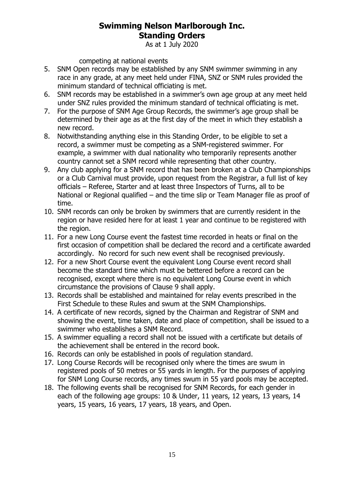As at 1 July 2020

competing at national events

- 5. SNM Open records may be established by any SNM swimmer swimming in any race in any grade, at any meet held under FINA, SNZ or SNM rules provided the minimum standard of technical officiating is met.
- 6. SNM records may be established in a swimmer's own age group at any meet held under SNZ rules provided the minimum standard of technical officiating is met.
- 7. For the purpose of SNM Age Group Records, the swimmer's age group shall be determined by their age as at the first day of the meet in which they establish a new record.
- 8. Notwithstanding anything else in this Standing Order, to be eligible to set a record, a swimmer must be competing as a SNM-registered swimmer. For example, a swimmer with dual nationality who temporarily represents another country cannot set a SNM record while representing that other country.
- <span id="page-14-0"></span>9. Any club applying for a SNM record that has been broken at a Club Championships or a Club Carnival must provide, upon request from the Registrar, a full list of key officials – Referee, Starter and at least three Inspectors of Turns, all to be National or Regional qualified – and the time slip or Team Manager file as proof of time.
- 10. SNM records can only be broken by swimmers that are currently resident in the region or have resided here for at least 1 year and continue to be registered with the region.
- 11. For a new Long Course event the fastest time recorded in heats or final on the first occasion of competition shall be declared the record and a certificate awarded accordingly. No record for such new event shall be recognised previously.
- 12. For a new Short Course event the equivalent Long Course event record shall become the standard time which must be bettered before a record can be recognised, except where there is no equivalent Long Course event in which circumstance the provisions of Clause [9](#page-14-0) shall apply.
- 13. Records shall be established and maintained for relay events prescribed in the First Schedule to these Rules and swum at the SNM Championships.
- 14. A certificate of new records, signed by the Chairman and Registrar of SNM and showing the event, time taken, date and place of competition, shall be issued to a swimmer who establishes a SNM Record.
- 15. A swimmer equalling a record shall not be issued with a certificate but details of the achievement shall be entered in the record book.
- 16. Records can only be established in pools of regulation standard.
- 17. Long Course Records will be recognised only where the times are swum in registered pools of 50 metres or 55 yards in length. For the purposes of applying for SNM Long Course records, any times swum in 55 yard pools may be accepted.
- 18. The following events shall be recognised for SNM Records, for each gender in each of the following age groups: 10 & Under, 11 years, 12 years, 13 years, 14 years, 15 years, 16 years, 17 years, 18 years, and Open.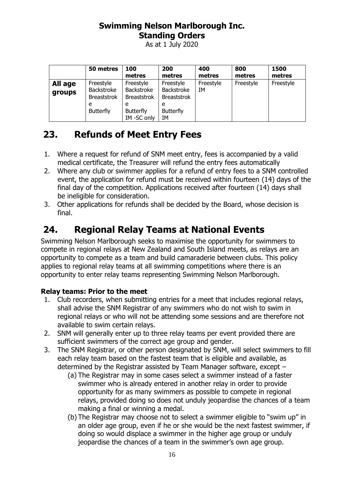As at 1 July 2020

|                   | 50 metres                                                              | 100<br>metres                                                                               | 200<br>metres                                                                | 400<br>metres   | 800<br>metres | 1500<br>metres |
|-------------------|------------------------------------------------------------------------|---------------------------------------------------------------------------------------------|------------------------------------------------------------------------------|-----------------|---------------|----------------|
| All age<br>groups | Freestyle<br>Backstroke<br><b>Breaststrok</b><br>e<br><b>Butterfly</b> | Freestyle<br><b>Backstroke</b><br><b>Breaststrok</b><br>e<br><b>Butterfly</b><br>IM-SC only | Freestyle<br>Backstroke<br><b>Breaststrok</b><br>e<br><b>Butterfly</b><br>IΜ | Freestyle<br>IΜ | Freestyle     | Freestyle      |

# <span id="page-15-0"></span>**23. Refunds of Meet Entry Fees**

- 1. Where a request for refund of SNM meet entry, fees is accompanied by a valid medical certificate, the Treasurer will refund the entry fees automatically
- 2. Where any club or swimmer applies for a refund of entry fees to a SNM controlled event, the application for refund must be received within fourteen (14) days of the final day of the competition. Applications received after fourteen (14) days shall be ineligible for consideration.
- 3. Other applications for refunds shall be decided by the Board, whose decision is final.

# <span id="page-15-1"></span>**24. Regional Relay Teams at National Events**

Swimming Nelson Marlborough seeks to maximise the opportunity for swimmers to compete in regional relays at New Zealand and South Island meets, as relays are an opportunity to compete as a team and build camaraderie between clubs. This policy applies to regional relay teams at all swimming competitions where there is an opportunity to enter relay teams representing Swimming Nelson Marlborough.

#### **Relay teams: Prior to the meet**

- 1. Club recorders, when submitting entries for a meet that includes regional relays, shall advise the SNM Registrar of any swimmers who do not wish to swim in regional relays or who will not be attending some sessions and are therefore not available to swim certain relays.
- 2. SNM will generally enter up to three relay teams per event provided there are sufficient swimmers of the correct age group and gender.
- 3. The SNM Registrar, or other person designated by SNM, will select swimmers to fill each relay team based on the fastest team that is eligible and available, as determined by the Registrar assisted by Team Manager software, except –
	- (a) The Registrar may in some cases select a swimmer instead of a faster swimmer who is already entered in another relay in order to provide opportunity for as many swimmers as possible to compete in regional relays, provided doing so does not unduly jeopardise the chances of a team making a final or winning a medal.
	- (b) The Registrar may choose not to select a swimmer eligible to "swim up" in an older age group, even if he or she would be the next fastest swimmer, if doing so would displace a swimmer in the higher age group or unduly jeopardise the chances of a team in the swimmer's own age group.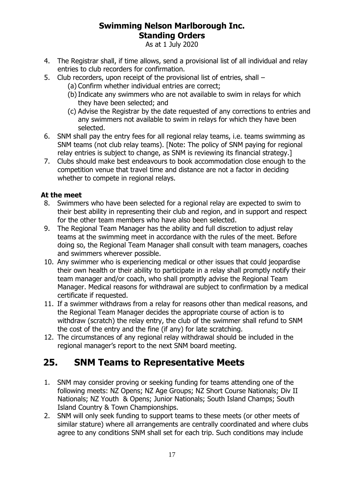As at 1 July 2020

- 4. The Registrar shall, if time allows, send a provisional list of all individual and relay entries to club recorders for confirmation.
- 5. Club recorders, upon receipt of the provisional list of entries, shall
	- (a) Confirm whether individual entries are correct;
	- (b)Indicate any swimmers who are not available to swim in relays for which they have been selected; and
	- (c) Advise the Registrar by the date requested of any corrections to entries and any swimmers not available to swim in relays for which they have been selected.
- 6. SNM shall pay the entry fees for all regional relay teams, i.e. teams swimming as SNM teams (not club relay teams). [Note: The policy of SNM paying for regional relay entries is subject to change, as SNM is reviewing its financial strategy.]
- 7. Clubs should make best endeavours to book accommodation close enough to the competition venue that travel time and distance are not a factor in deciding whether to compete in regional relays.

#### **At the meet**

- 8. Swimmers who have been selected for a regional relay are expected to swim to their best ability in representing their club and region, and in support and respect for the other team members who have also been selected.
- 9. The Regional Team Manager has the ability and full discretion to adjust relay teams at the swimming meet in accordance with the rules of the meet. Before doing so, the Regional Team Manager shall consult with team managers, coaches and swimmers wherever possible.
- 10. Any swimmer who is experiencing medical or other issues that could jeopardise their own health or their ability to participate in a relay shall promptly notify their team manager and/or coach, who shall promptly advise the Regional Team Manager. Medical reasons for withdrawal are subject to confirmation by a medical certificate if requested.
- 11. If a swimmer withdraws from a relay for reasons other than medical reasons, and the Regional Team Manager decides the appropriate course of action is to withdraw (scratch) the relay entry, the club of the swimmer shall refund to SNM the cost of the entry and the fine (if any) for late scratching.
- 12. The circumstances of any regional relay withdrawal should be included in the regional manager's report to the next SNM board meeting.

# <span id="page-16-0"></span>**25. SNM Teams to Representative Meets**

- 1. SNM may consider proving or seeking funding for teams attending one of the following meets: NZ Opens; NZ Age Groups; NZ Short Course Nationals; Div II Nationals; NZ Youth & Opens; Junior Nationals; South Island Champs; South Island Country & Town Championships.
- 2. SNM will only seek funding to support teams to these meets (or other meets of similar stature) where all arrangements are centrally coordinated and where clubs agree to any conditions SNM shall set for each trip. Such conditions may include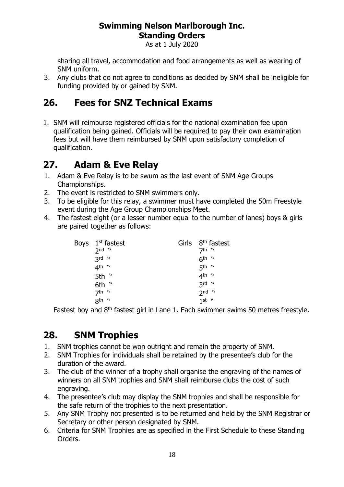As at 1 July 2020

sharing all travel, accommodation and food arrangements as well as wearing of SNM uniform.

3. Any clubs that do not agree to conditions as decided by SNM shall be ineligible for funding provided by or gained by SNM.

# <span id="page-17-0"></span>**26. Fees for SNZ Technical Exams**

1. SNM will reimburse registered officials for the national examination fee upon qualification being gained. Officials will be required to pay their own examination fees but will have them reimbursed by SNM upon satisfactory completion of qualification.

# <span id="page-17-1"></span>**27. Adam & Eve Relay**

- 1. Adam & Eve Relay is to be swum as the last event of SNM Age Groups Championships.
- 2. The event is restricted to SNM swimmers only.
- 3. To be eligible for this relay, a swimmer must have completed the 50m Freestyle event during the Age Group Championships Meet.
- 4. The fastest eight (or a lesser number equal to the number of lanes) boys & girls are paired together as follows:

|  | Boys $1st$ fastest | Girls 8 <sup>th</sup> fastest |
|--|--------------------|-------------------------------|
|  | $2nd$ $"$          | $7th$ "                       |
|  | $3rd$ $"$          | $6th$ "                       |
|  | 4 <sup>th "</sup>  | 5 <sup>th "</sup>             |
|  | 5th "              | $4^{\text{th}}$ "             |
|  | 6th "              | $3rd$ "                       |
|  | $7th$ "            | $2nd$ "                       |
|  | 8 <sup>th "</sup>  | $1$ st $"$                    |

Fastest boy and  $8<sup>th</sup>$  fastest girl in Lane 1. Each swimmer swims 50 metres freestyle.

# <span id="page-17-2"></span>**28. SNM Trophies**

- 1. SNM trophies cannot be won outright and remain the property of SNM.
- 2. SNM Trophies for individuals shall be retained by the presentee's club for the duration of the award.
- 3. The club of the winner of a trophy shall organise the engraving of the names of winners on all SNM trophies and SNM shall reimburse clubs the cost of such engraving.
- 4. The presentee's club may display the SNM trophies and shall be responsible for the safe return of the trophies to the next presentation.
- 5. Any SNM Trophy not presented is to be returned and held by the SNM Registrar or Secretary or other person designated by SNM.
- 6. Criteria for SNM Trophies are as specified in the First Schedule to these Standing Orders.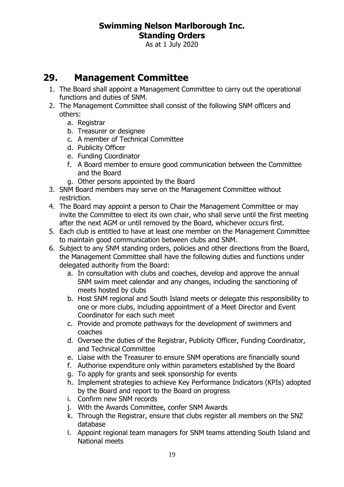As at 1 July 2020

# <span id="page-18-0"></span>**29. Management Committee**

- 1. The Board shall appoint a Management Committee to carry out the operational functions and duties of SNM.
- 2. The Management Committee shall consist of the following SNM officers and others:
	- a. Registrar
	- b. Treasurer or designee
	- c. A member of Technical Committee
	- d. Publicity Officer
	- e. Funding Coordinator
	- f. A Board member to ensure good communication between the Committee and the Board
	- g. Other persons appointed by the Board
- 3. SNM Board members may serve on the Management Committee without restriction.
- 4. The Board may appoint a person to Chair the Management Committee or may invite the Committee to elect its own chair, who shall serve until the first meeting after the next AGM or until removed by the Board, whichever occurs first.
- 5. Each club is entitled to have at least one member on the Management Committee to maintain good communication between clubs and SNM.
- 6. Subject to any SNM standing orders, policies and other directions from the Board, the Management Committee shall have the following duties and functions under delegated authority from the Board:
	- a. In consultation with clubs and coaches, develop and approve the annual SNM swim meet calendar and any changes, including the sanctioning of meets hosted by clubs
	- b. Host SNM regional and South Island meets or delegate this responsibility to one or more clubs, including appointment of a Meet Director and Event Coordinator for each such meet
	- c. Provide and promote pathways for the development of swimmers and coaches
	- d. Oversee the duties of the Registrar, Publicity Officer, Funding Coordinator, and Technical Committee
	- e. Liaise with the Treasurer to ensure SNM operations are financially sound
	- f. Authorise expenditure only within parameters established by the Board
	- g. To apply for grants and seek sponsorship for events
	- h. Implement strategies to achieve Key Performance Indicators (KPIs) adopted by the Board and report to the Board on progress
	- i. Confirm new SNM records
	- j. With the Awards Committee, confer SNM Awards
	- k. Through the Registrar, ensure that clubs register all members on the SNZ database
	- l. Appoint regional team managers for SNM teams attending South Island and National meets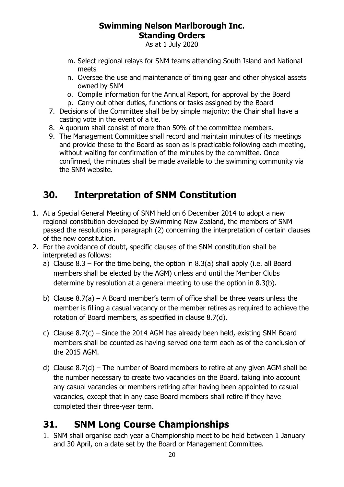As at 1 July 2020

- m. Select regional relays for SNM teams attending South Island and National meets
- n. Oversee the use and maintenance of timing gear and other physical assets owned by SNM
- o. Compile information for the Annual Report, for approval by the Board
- p. Carry out other duties, functions or tasks assigned by the Board
- 7. Decisions of the Committee shall be by simple majority; the Chair shall have a casting vote in the event of a tie.
- 8. A quorum shall consist of more than 50% of the committee members.
- 9. The Management Committee shall record and maintain minutes of its meetings and provide these to the Board as soon as is practicable following each meeting, without waiting for confirmation of the minutes by the committee. Once confirmed, the minutes shall be made available to the swimming community via the SNM website.

# <span id="page-19-0"></span>**30. Interpretation of SNM Constitution**

- 1. At a Special General Meeting of SNM held on 6 December 2014 to adopt a new regional constitution developed by Swimming New Zealand, the members of SNM passed the resolutions in paragraph (2) concerning the interpretation of certain clauses of the new constitution.
- 2. For the avoidance of doubt, specific clauses of the SNM constitution shall be interpreted as follows:
	- a) Clause  $8.3$  For the time being, the option in  $8.3(a)$  shall apply (i.e. all Board members shall be elected by the AGM) unless and until the Member Clubs determine by resolution at a general meeting to use the option in 8.3(b).
	- b) Clause 8.7(a) A Board member's term of office shall be three years unless the member is filling a casual vacancy or the member retires as required to achieve the rotation of Board members, as specified in clause 8.7(d).
	- c) Clause 8.7(c) Since the 2014 AGM has already been held, existing SNM Board members shall be counted as having served one term each as of the conclusion of the 2015 AGM.
	- d) Clause  $8.7(d)$  The number of Board members to retire at any given AGM shall be the number necessary to create two vacancies on the Board, taking into account any casual vacancies or members retiring after having been appointed to casual vacancies, except that in any case Board members shall retire if they have completed their three-year term.

# <span id="page-19-1"></span>**31. SNM Long Course Championships**

1. SNM shall organise each year a Championship meet to be held between 1 January and 30 April, on a date set by the Board or Management Committee.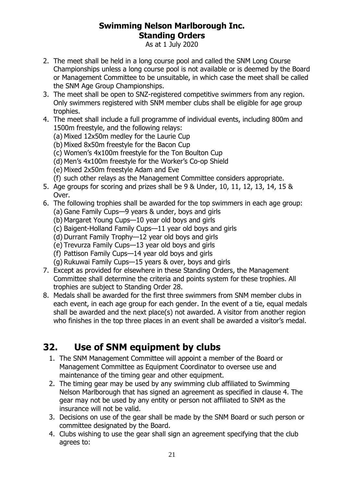As at 1 July 2020

- 2. The meet shall be held in a long course pool and called the SNM Long Course Championships unless a long course pool is not available or is deemed by the Board or Management Committee to be unsuitable, in which case the meet shall be called the SNM Age Group Championships.
- 3. The meet shall be open to SNZ-registered competitive swimmers from any region. Only swimmers registered with SNM member clubs shall be eligible for age group trophies.
- 4. The meet shall include a full programme of individual events, including 800m and 1500m freestyle, and the following relays:
	- (a) Mixed 12x50m medley for the Laurie Cup
	- (b) Mixed 8x50m freestyle for the Bacon Cup
	- (c) Women's 4x100m freestyle for the Ton Boulton Cup
	- (d) Men's 4x100m freestyle for the Worker's Co-op Shield
	- (e) Mixed 2x50m freestyle Adam and Eve
	- (f) such other relays as the Management Committee considers appropriate.
- 5. Age groups for scoring and prizes shall be 9 & Under, 10, 11, 12, 13, 14, 15 & Over.
- 6. The following trophies shall be awarded for the top swimmers in each age group:
	- (a) Gane Family Cups—9 years & under, boys and girls
	- (b) Margaret Young Cups—10 year old boys and girls
	- (c) Baigent-Holland Family Cups—11 year old boys and girls
	- (d) Durrant Family Trophy—12 year old boys and girls
	- (e) Trevurza Family Cups—13 year old boys and girls
	- (f) Pattison Family Cups—14 year old boys and girls
	- (g) Rukuwai Family Cups—15 years & over, boys and girls
- 7. Except as provided for elsewhere in these Standing Orders, the Management Committee shall determine the criteria and points system for these trophies. All trophies are subject to Standing Order 28.
- 8. Medals shall be awarded for the first three swimmers from SNM member clubs in each event, in each age group for each gender. In the event of a tie, equal medals shall be awarded and the next place(s) not awarded. A visitor from another region who finishes in the top three places in an event shall be awarded a visitor's medal.

# <span id="page-20-0"></span>**32. Use of SNM equipment by clubs**

- 1. The SNM Management Committee will appoint a member of the Board or Management Committee as Equipment Coordinator to oversee use and maintenance of the timing gear and other equipment.
- 2. The timing gear may be used by any swimming club affiliated to Swimming Nelson Marlborough that has signed an agreement as specified in clause 4. The gear may not be used by any entity or person not affiliated to SNM as the insurance will not be valid.
- 3. Decisions on use of the gear shall be made by the SNM Board or such person or committee designated by the Board.
- 4. Clubs wishing to use the gear shall sign an agreement specifying that the club agrees to: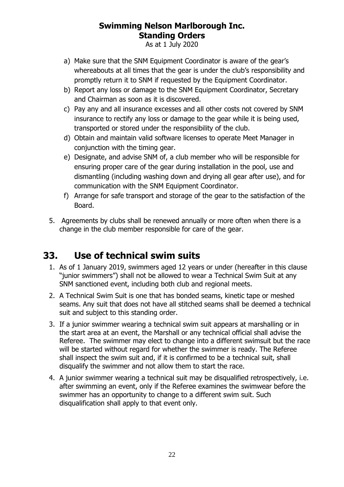As at 1 July 2020

- a) Make sure that the SNM Equipment Coordinator is aware of the gear's whereabouts at all times that the gear is under the club's responsibility and promptly return it to SNM if requested by the Equipment Coordinator.
- b) Report any loss or damage to the SNM Equipment Coordinator, Secretary and Chairman as soon as it is discovered.
- c) Pay any and all insurance excesses and all other costs not covered by SNM insurance to rectify any loss or damage to the gear while it is being used, transported or stored under the responsibility of the club.
- d) Obtain and maintain valid software licenses to operate Meet Manager in conjunction with the timing gear.
- e) Designate, and advise SNM of, a club member who will be responsible for ensuring proper care of the gear during installation in the pool, use and dismantling (including washing down and drying all gear after use), and for communication with the SNM Equipment Coordinator.
- f) Arrange for safe transport and storage of the gear to the satisfaction of the Board.
- 5. Agreements by clubs shall be renewed annually or more often when there is a change in the club member responsible for care of the gear.

# <span id="page-21-0"></span>**33. Use of technical swim suits**

- 1. As of 1 January 2019, swimmers aged 12 years or under (hereafter in this clause "junior swimmers") shall not be allowed to wear a Technical Swim Suit at any SNM sanctioned event, including both club and regional meets.
- 2. A Technical Swim Suit is one that has bonded seams, kinetic tape or meshed seams. Any suit that does not have all stitched seams shall be deemed a technical suit and subject to this standing order.
- 3. If a junior swimmer wearing a technical swim suit appears at marshalling or in the start area at an event, the Marshall or any technical official shall advise the Referee. The swimmer may elect to change into a different swimsuit but the race will be started without regard for whether the swimmer is ready. The Referee shall inspect the swim suit and, if it is confirmed to be a technical suit, shall disqualify the swimmer and not allow them to start the race.
- 4. A junior swimmer wearing a technical suit may be disqualified retrospectively, i.e. after swimming an event, only if the Referee examines the swimwear before the swimmer has an opportunity to change to a different swim suit. Such disqualification shall apply to that event only.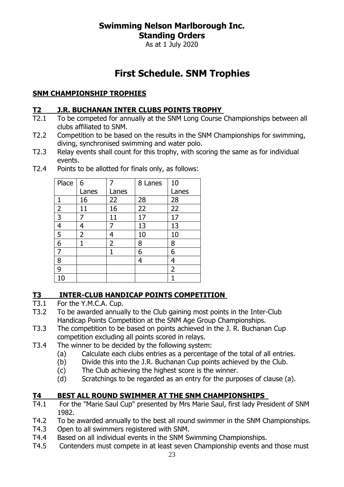As at 1 July 2020

# **First Schedule. SNM Trophies**

#### <span id="page-22-0"></span>**SNM CHAMPIONSHIP TROPHIES**

#### **T2 J.R. BUCHANAN INTER CLUBS POINTS TROPHY**

- T2.1 To be competed for annually at the SNM Long Course Championships between all clubs affiliated to SNM.
- T2.2 Competition to be based on the results in the SNM Championships for swimming, diving, synchronised swimming and water polo.
- T2.3 Relay events shall count for this trophy, with scoring the same as for individual events.

| Place          | $\overline{6}$ |                | 8 Lanes | 10             |
|----------------|----------------|----------------|---------|----------------|
|                | Lanes          | Lanes          |         | Lanes          |
| 1              | 16             | 22             | 28      | 28             |
| $\overline{2}$ | 11             | 16             | 22      | 22             |
| 3              | 7              | 11             | 17      | 17             |
| 4              | 4              |                | 13      | 13             |
| 5              | 2              | 4              | 10      | 10             |
| 6              |                | $\overline{2}$ | 8       | 8              |
| 7              |                |                | 6       | 6              |
| 8              |                |                | 4       | 4              |
| 9              |                |                |         | $\overline{2}$ |
| 10             |                |                |         |                |

T2.4 Points to be allotted for finals only, as follows:

# **T3 INTER-CLUB HANDICAP POINTS COMPETITION**<br>T3.1 For the Y.M.C.A. Cup.

- For the Y.M.C.A. Cup.
- T3.2 To be awarded annually to the Club gaining most points in the Inter-Club Handicap Points Competition at the SNM Age Group Championships.
- T3.3 The competition to be based on points achieved in the J. R. Buchanan Cup competition excluding all points scored in relays.
- T3.4 The winner to be decided by the following system:
	- (a) Calculate each clubs entries as a percentage of the total of all entries.
	- (b) Divide this into the J.R. Buchanan Cup points achieved by the Club.
	- (c) The Club achieving the highest score is the winner.
	- (d) Scratchings to be regarded as an entry for the purposes of clause (a).

#### **T4 BEST ALL ROUND SWIMMER AT THE SNM CHAMPIONSHIPS**

- T4.1 For the "Marie Saul Cup" presented by Mrs Marie Saul, first lady President of SNM 1982.
- T4.2 To be awarded annually to the best all round swimmer in the SNM Championships.
- T4.3 Open to all swimmers registered with SNM.
- T4.4 Based on all individual events in the SNM Swimming Championships.
- T4.5 Contenders must compete in at least seven Championship events and those must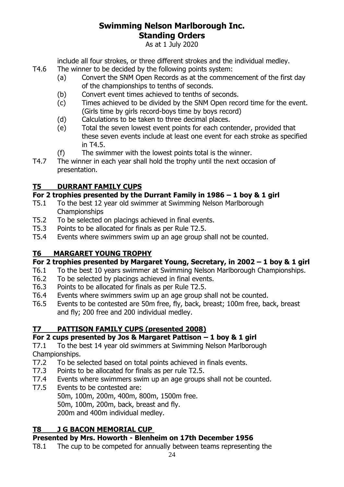As at 1 July 2020

include all four strokes, or three different strokes and the individual medley.

- T4.6 The winner to be decided by the following points system:
	- (a) Convert the SNM Open Records as at the commencement of the first day of the championships to tenths of seconds.
	- (b) Convert event times achieved to tenths of seconds.
	- (c) Times achieved to be divided by the SNM Open record time for the event. (Girls time by girls record-boys time by boys record)
	- (d) Calculations to be taken to three decimal places.
	- (e) Total the seven lowest event points for each contender, provided that these seven events include at least one event for each stroke as specified in T4.5.
	- (f) The swimmer with the lowest points total is the winner.
- T4.7 The winner in each year shall hold the trophy until the next occasion of presentation.

#### **T5 DURRANT FAMILY CUPS**

#### **For 2 trophies presented by the Durrant Family in 1986 – 1 boy & 1 girl**

- T5.1 To the best 12 year old swimmer at Swimming Nelson Marlborough Championships
- T5.2 To be selected on placings achieved in final events.
- T5.3 Points to be allocated for finals as per Rule T2.5.
- T5.4 Events where swimmers swim up an age group shall not be counted.

#### **T6 MARGARET YOUNG TROPHY**

#### **For 2 trophies presented by Margaret Young, Secretary, in 2002 – 1 boy & 1 girl**

- T6.1 To the best 10 years swimmer at Swimming Nelson Marlborough Championships.
- T6.2 To be selected by placings achieved in final events.
- T6.3 Points to be allocated for finals as per Rule T2.5.
- T6.4 Events where swimmers swim up an age group shall not be counted.
- T6.5 Events to be contested are 50m free, fly, back, breast; 100m free, back, breast and fly; 200 free and 200 individual medley.

### **T7 PATTISON FAMILY CUPS (presented 2008)**

#### **For 2 cups presented by Jos & Margaret Pattison – 1 boy & 1 girl**

T7.1 To the best 14 year old swimmers at Swimming Nelson Marlborough Championships.

- T7.2 To be selected based on total points achieved in finals events.
- T7.3 Points to be allocated for finals as per rule T2.5.
- T7.4 Events where swimmers swim up an age groups shall not be counted.
- T7.5 Events to be contested are:

50m, 100m, 200m, 400m, 800m, 1500m free.

50m, 100m, 200m, back, breast and fly.

200m and 400m individual medley.

#### **T8 J G BACON MEMORIAL CUP**

#### **Presented by Mrs. Howorth - Blenheim on 17th December 1956**

T8.1 The cup to be competed for annually between teams representing the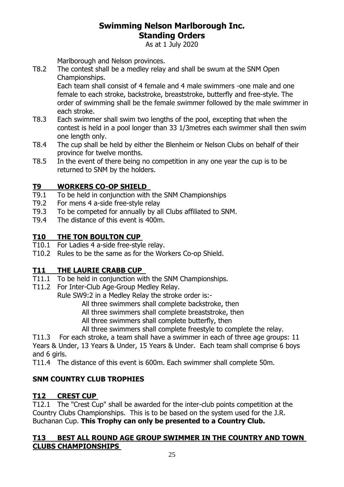As at 1 July 2020

Marlborough and Nelson provinces.

T8.2 The contest shall be a medley relay and shall be swum at the SNM Open Championships.

Each team shall consist of 4 female and 4 male swimmers -one male and one female to each stroke, backstroke, breaststroke, butterfly and free-style. The order of swimming shall be the female swimmer followed by the male swimmer in each stroke.

- T8.3 Each swimmer shall swim two lengths of the pool, excepting that when the contest is held in a pool longer than 33 1/3metres each swimmer shall then swim one length only.
- T8.4 The cup shall be held by either the Blenheim or Nelson Clubs on behalf of their province for twelve months.
- T8.5 In the event of there being no competition in any one year the cup is to be returned to SNM by the holders.

#### **T9 WORKERS CO-OP SHIELD**

- T9.1 To be held in conjunction with the SNM Championships
- T9.2 For mens 4 a-side free-style relay
- T9.3 To be competed for annually by all Clubs affiliated to SNM.
- T9.4 The distance of this event is 400m.

#### **T10 THE TON BOULTON CUP**

- T10.1 For Ladies 4 a-side free-style relay.
- T10.2 Rules to be the same as for the Workers Co-op Shield.

#### **T11 THE LAURIE CRABB CUP**

- T11.1 To be held in conjunction with the SNM Championships.
- T11.2 For Inter-Club Age-Group Medley Relay.

Rule SW9:2 in a Medley Relay the stroke order is:-

All three swimmers shall complete backstroke, then

All three swimmers shall complete breaststroke, then

All three swimmers shall complete butterfly, then

All three swimmers shall complete freestyle to complete the relay.

T11.3 For each stroke, a team shall have a swimmer in each of three age groups: 11 Years & Under, 13 Years & Under, 15 Years & Under. Each team shall comprise 6 boys and 6 girls.

T11.4 The distance of this event is 600m. Each swimmer shall complete 50m.

#### **SNM COUNTRY CLUB TROPHIES**

#### **T12 CREST CUP**

T12.1 The "Crest Cup" shall be awarded for the inter-club points competition at the Country Clubs Championships. This is to be based on the system used for the J.R. Buchanan Cup. **This Trophy can only be presented to a Country Club.**

#### **T13 BEST ALL ROUND AGE GROUP SWIMMER IN THE COUNTRY AND TOWN CLUBS CHAMPIONSHIPS**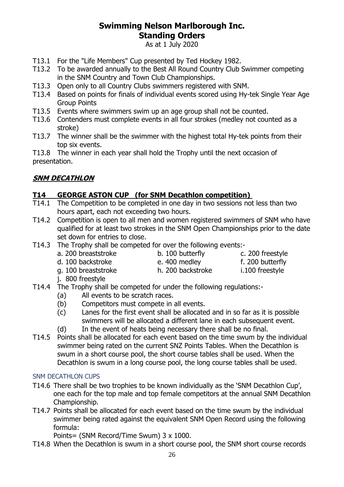As at 1 July 2020

- T13.1 For the "Life Members" Cup presented by Ted Hockey 1982.
- T13.2 To be awarded annually to the Best All Round Country Club Swimmer competing in the SNM Country and Town Club Championships.
- T13.3 Open only to all Country Clubs swimmers registered with SNM.
- T13.4 Based on points for finals of individual events scored using Hy-tek Single Year Age Group Points
- T13.5 Events where swimmers swim up an age group shall not be counted.
- T13.6 Contenders must complete events in all four strokes (medley not counted as a stroke)
- T13.7 The winner shall be the swimmer with the highest total Hy-tek points from their top six events.

T13.8 The winner in each year shall hold the Trophy until the next occasion of presentation.

#### **SNM DECATHLON**

#### **T14 GEORGE ASTON CUP (for SNM Decathlon competition)**

- T14.1 The Competition to be completed in one day in two sessions not less than two hours apart, each not exceeding two hours.
- T14.2 Competition is open to all men and women registered swimmers of SNM who have qualified for at least two strokes in the SNM Open Championships prior to the date set down for entries to close.
- T14.3 The Trophy shall be competed for over the following events:
	- a. 200 breaststroke b. 100 butterfly c. 200 freestyle

- g. 100 breaststroke h. 200 backstroke i.100 freestyle
- d. 100 backstroke e. 400 medley f. 200 butterfly

- j. 800 freestyle
- T14.4 The Trophy shall be competed for under the following regulations:-
	- (a) All events to be scratch races.
	- (b) Competitors must compete in all events.
	- (c) Lanes for the first event shall be allocated and in so far as it is possible swimmers will be allocated a different lane in each subsequent event.
	- (d) In the event of heats being necessary there shall be no final.
	- T14.5 Points shall be allocated for each event based on the time swum by the individual swimmer being rated on the current SNZ Points Tables. When the Decathlon is swum in a short course pool, the short course tables shall be used. When the Decathlon is swum in a long course pool, the long course tables shall be used.

#### SNM DECATHLON CUPS

- T14.6 There shall be two trophies to be known individually as the 'SNM Decathlon Cup', one each for the top male and top female competitors at the annual SNM Decathlon Championship.
- T14.7 Points shall be allocated for each event based on the time swum by the individual swimmer being rated against the equivalent SNM Open Record using the following formula:

Points= (SNM Record/Time Swum) 3 x 1000.

T14.8 When the Decathlon is swum in a short course pool, the SNM short course records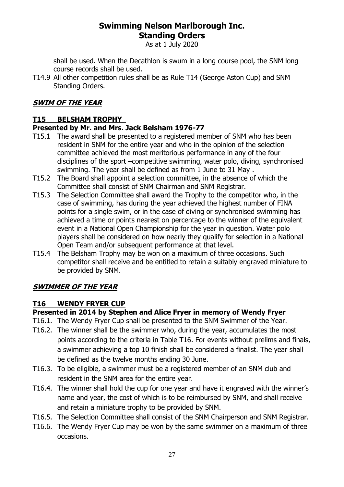As at 1 July 2020

shall be used. When the Decathlon is swum in a long course pool, the SNM long course records shall be used.

T14.9 All other competition rules shall be as Rule T14 (George Aston Cup) and SNM Standing Orders.

#### **SWIM OF THE YEAR**

#### **T15 BELSHAM TROPHY**

#### **Presented by Mr. and Mrs. Jack Belsham 1976-77**

- T15.1 The award shall be presented to a registered member of SNM who has been resident in SNM for the entire year and who in the opinion of the selection committee achieved the most meritorious performance in any of the four disciplines of the sport –competitive swimming, water polo, diving, synchronised swimming. The year shall be defined as from 1 June to 31 May .
- T15.2 The Board shall appoint a selection committee, in the absence of which the Committee shall consist of SNM Chairman and SNM Registrar.
- T15.3 The Selection Committee shall award the Trophy to the competitor who, in the case of swimming, has during the year achieved the highest number of FINA points for a single swim, or in the case of diving or synchronised swimming has achieved a time or points nearest on percentage to the winner of the equivalent event in a National Open Championship for the year in question. Water polo players shall be considered on how nearly they qualify for selection in a National Open Team and/or subsequent performance at that level.
- T15.4 The Belsham Trophy may be won on a maximum of three occasions. Such competitor shall receive and be entitled to retain a suitably engraved miniature to be provided by SNM.

### **SWIMMER OF THE YEAR**

#### **T16 WENDY FRYER CUP**

#### **Presented in 2014 by Stephen and Alice Fryer in memory of Wendy Fryer**

- T16.1. The Wendy Fryer Cup shall be presented to the SNM Swimmer of the Year.
- T16.2. The winner shall be the swimmer who, during the year, accumulates the most points according to the criteria in Table T16. For events without prelims and finals, a swimmer achieving a top 10 finish shall be considered a finalist. The year shall be defined as the twelve months ending 30 June.
- T16.3. To be eligible, a swimmer must be a registered member of an SNM club and resident in the SNM area for the entire year.
- T16.4. The winner shall hold the cup for one year and have it engraved with the winner's name and year, the cost of which is to be reimbursed by SNM, and shall receive and retain a miniature trophy to be provided by SNM.
- T16.5. The Selection Committee shall consist of the SNM Chairperson and SNM Registrar.
- T16.6. The Wendy Fryer Cup may be won by the same swimmer on a maximum of three occasions.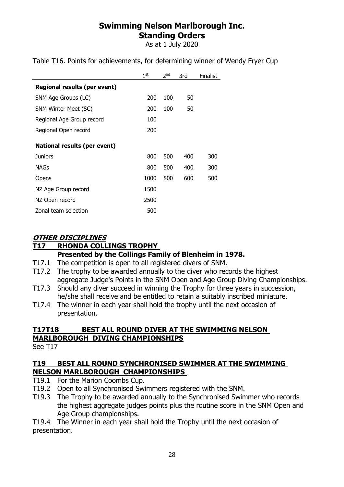As at 1 July 2020

| 1 <sup>st</sup> | 2 <sub>nd</sub> | 3rd | Finalist |
|-----------------|-----------------|-----|----------|
|                 |                 |     |          |
| 200             | 100             | 50  |          |
| 200             | 100             | 50  |          |
| 100             |                 |     |          |
| 200             |                 |     |          |
|                 |                 |     |          |
| 800             | 500             | 400 | 300      |
| 800             | 500             | 400 | 300      |
| 1000            | 800             | 600 | 500      |
| 1500            |                 |     |          |
| 2500            |                 |     |          |
| 500             |                 |     |          |
|                 |                 |     |          |

Table T16. Points for achievements, for determining winner of Wendy Fryer Cup

#### **OTHER DISCIPLINES**

#### **T17 RHONDA COLLINGS TROPHY**

#### **Presented by the Collings Family of Blenheim in 1978.**

- T17.1 The competition is open to all registered divers of SNM.
- T17.2 The trophy to be awarded annually to the diver who records the highest aggregate Judge's Points in the SNM Open and Age Group Diving Championships.
- T17.3 Should any diver succeed in winning the Trophy for three years in succession, he/she shall receive and be entitled to retain a suitably inscribed miniature.
- T17.4 The winner in each year shall hold the trophy until the next occasion of presentation.

#### **T17T18 BEST ALL ROUND DIVER AT THE SWIMMING NELSON MARLBOROUGH DIVING CHAMPIONSHIPS**

See T17

#### **T19 BEST ALL ROUND SYNCHRONISED SWIMMER AT THE SWIMMING NELSON MARLBOROUGH CHAMPIONSHIPS**

- T19.1 For the Marion Coombs Cup.
- T19.2 Open to all Synchronised Swimmers registered with the SNM.
- T19.3 The Trophy to be awarded annually to the Synchronised Swimmer who records the highest aggregate judges points plus the routine score in the SNM Open and Age Group championships.

T19.4 The Winner in each year shall hold the Trophy until the next occasion of presentation.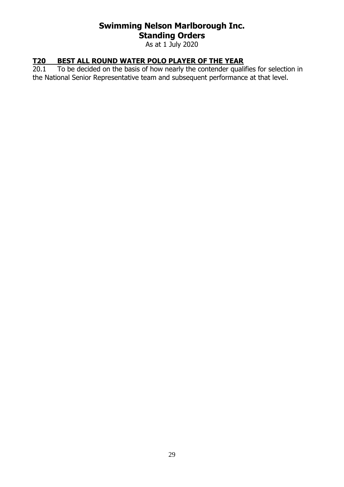As at 1 July 2020

#### **T20 BEST ALL ROUND WATER POLO PLAYER OF THE YEAR**

20.1 To be decided on the basis of how nearly the contender qualifies for selection in the National Senior Representative team and subsequent performance at that level.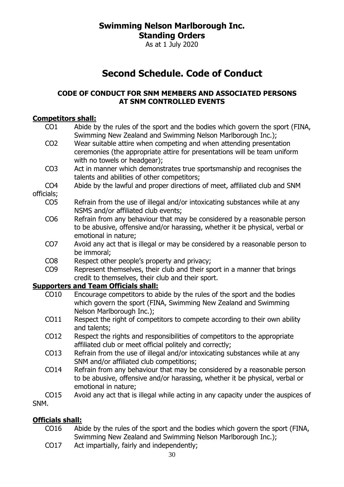As at 1 July 2020

# **Second Schedule. Code of Conduct**

#### <span id="page-29-0"></span>**CODE OF CONDUCT FOR SNM MEMBERS AND ASSOCIATED PERSONS AT SNM CONTROLLED EVENTS**

#### **Competitors shall:**

| CO <sub>1</sub> | Abide by the rules of the sport and the bodies which govern the sport (FINA,     |
|-----------------|----------------------------------------------------------------------------------|
|                 | Swimming New Zealand and Swimming Nelson Marlborough Inc.);                      |
| CO <sub>2</sub> | Wear suitable attire when competing and when attending presentation              |
|                 | ceremonies (the appropriate attire for presentations will be team uniform        |
|                 | with no towels or headgear);                                                     |
| CO <sub>3</sub> | Act in manner which demonstrates true sportsmanship and recognises the           |
|                 | talents and abilities of other competitors;                                      |
| CO <sub>4</sub> | Abide by the lawful and proper directions of meet, affiliated club and SNM       |
| officials;      |                                                                                  |
| CO <sub>5</sub> | Refrain from the use of illegal and/or intoxicating substances while at any      |
|                 | NSMS and/or affiliated club events;                                              |
| CO <sub>6</sub> | Refrain from any behaviour that may be considered by a reasonable person         |
|                 | to be abusive, offensive and/or harassing, whether it be physical, verbal or     |
|                 | emotional in nature;                                                             |
| CO <sub>7</sub> | Avoid any act that is illegal or may be considered by a reasonable person to     |
|                 | be immoral;                                                                      |
| CO <sub>8</sub> | Respect other people's property and privacy;                                     |
| CO <sub>9</sub> | Represent themselves, their club and their sport in a manner that brings         |
|                 | credit to themselves, their club and their sport.                                |
|                 | <b>Supporters and Team Officials shall:</b>                                      |
| CO10            | Encourage competitors to abide by the rules of the sport and the bodies          |
|                 | which govern the sport (FINA, Swimming New Zealand and Swimming                  |
|                 | Nelson Marlborough Inc.);                                                        |
| CO11            | Respect the right of competitors to compete according to their own ability       |
|                 | and talents;                                                                     |
| CO12            | Respect the rights and responsibilities of competitors to the appropriate        |
|                 | affiliated club or meet official politely and correctly;                         |
| CO13            | Refrain from the use of illegal and/or intoxicating substances while at any      |
|                 | SNM and/or affiliated club competitions;                                         |
| CO14            | Refrain from any behaviour that may be considered by a reasonable person         |
|                 | to be abusive, offensive and/or harassing, whether it be physical, verbal or     |
|                 | emotional in nature;                                                             |
| CO15            | Avoid any act that is illegal while acting in any capacity under the auspices of |
| SNM.            |                                                                                  |

#### **Officials shall:**

- CO16 Abide by the rules of the sport and the bodies which govern the sport (FINA, Swimming New Zealand and Swimming Nelson Marlborough Inc.);
- CO17 Act impartially, fairly and independently;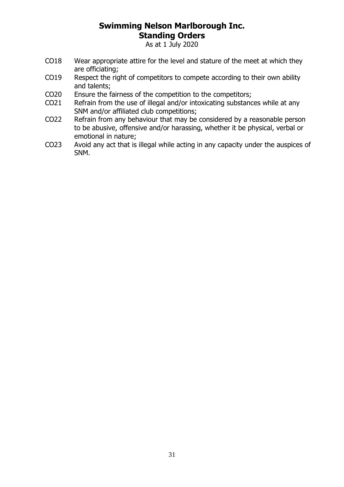As at 1 July 2020

- CO18 Wear appropriate attire for the level and stature of the meet at which they are officiating;
- CO19 Respect the right of competitors to compete according to their own ability and talents;
- CO20 Ensure the fairness of the competition to the competitors;
- CO21 Refrain from the use of illegal and/or intoxicating substances while at any SNM and/or affiliated club competitions;
- CO22 Refrain from any behaviour that may be considered by a reasonable person to be abusive, offensive and/or harassing, whether it be physical, verbal or emotional in nature;
- CO23 Avoid any act that is illegal while acting in any capacity under the auspices of SNM.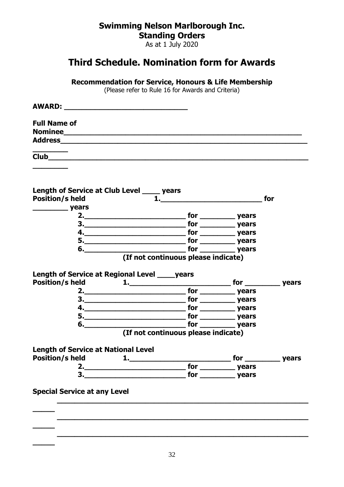As at 1 July 2020

## <span id="page-31-0"></span>**Third Schedule. Nomination form for Awards**

**Recommendation for Service, Honours & Life Membership**

(Please refer to Rule [16](#page-10-1) for Awards and Criteria)

| <b>AWARD:</b>                  |  |  |
|--------------------------------|--|--|
| <b>Full Name of</b>            |  |  |
| <b>Nominee</b>                 |  |  |
| <b>Address</b>                 |  |  |
| $\overbrace{\hspace{25mm}}^{}$ |  |  |
| $\overline{\text{Club}}$       |  |  |

**\_\_\_\_\_\_\_\_**

**\_\_\_\_\_**

| Length of Service at Club Level ____ years<br><b>Position/s held</b> |                                                                                                                | for |
|----------------------------------------------------------------------|----------------------------------------------------------------------------------------------------------------|-----|
| <b>Example 19 years</b>                                              |                                                                                                                |     |
|                                                                      |                                                                                                                |     |
|                                                                      | 3. Note a set of the set of the set of the set of the set of the set of the set of the set of the set of the s |     |
|                                                                      |                                                                                                                |     |
|                                                                      |                                                                                                                |     |
|                                                                      | 6. vears and the set of the set of the set of the set of the set of the set of the set of the set of the set o |     |
|                                                                      | (If not continuous please indicate)                                                                            |     |
| Length of Service at Regional Level _____ years                      |                                                                                                                |     |
|                                                                      |                                                                                                                |     |
|                                                                      |                                                                                                                |     |
|                                                                      |                                                                                                                |     |
|                                                                      |                                                                                                                |     |
|                                                                      |                                                                                                                |     |
|                                                                      |                                                                                                                |     |
|                                                                      | (If not continuous please indicate)                                                                            |     |
| <b>Length of Service at National Level</b>                           |                                                                                                                |     |
|                                                                      |                                                                                                                |     |
|                                                                      |                                                                                                                |     |
|                                                                      | 3. Note that the set of the set of the set of the set of the set of the set of the set of the set of the set o |     |
| <b>Special Service at any Level</b>                                  |                                                                                                                |     |
|                                                                      |                                                                                                                |     |
|                                                                      |                                                                                                                |     |
|                                                                      |                                                                                                                |     |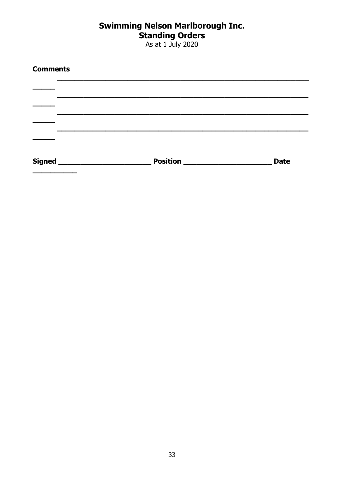# **Swimming Nelson Marlborough Inc.<br>Standing Orders<br>As at 1 July 2020**

| <b>Comments</b> |                                         |             |
|-----------------|-----------------------------------------|-------------|
|                 |                                         |             |
|                 |                                         |             |
|                 |                                         |             |
|                 |                                         |             |
|                 | <b>Position _______________________</b> | <b>Date</b> |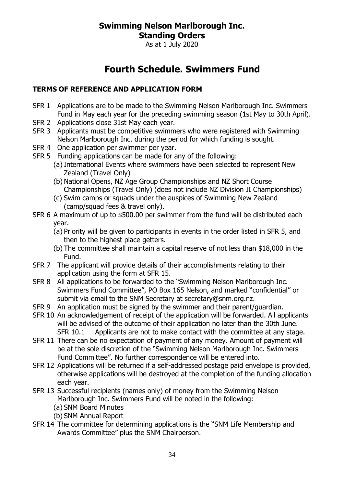As at 1 July 2020

# **Fourth Schedule. Swimmers Fund**

#### <span id="page-33-0"></span>**TERMS OF REFERENCE AND APPLICATION FORM**

- SFR 1 Applications are to be made to the Swimming Nelson Marlborough Inc. Swimmers Fund in May each year for the preceding swimming season (1st May to 30th April).
- SFR 2 Applications close 31st May each year.
- SFR 3 Applicants must be competitive swimmers who were registered with Swimming Nelson Marlborough Inc. during the period for which funding is sought.
- SFR 4 One application per swimmer per year.
- SFR 5 Funding applications can be made for any of the following:
	- (a) International Events where swimmers have been selected to represent New Zealand (Travel Only)
	- (b) National Opens, NZ Age Group Championships and NZ Short Course Championships (Travel Only) (does not include NZ Division II Championships)
	- (c) Swim camps or squads under the auspices of Swimming New Zealand (camp/squad fees & travel only).
- SFR 6 A maximum of up to \$500.00 per swimmer from the fund will be distributed each year.
	- (a) Priority will be given to participants in events in the order listed in SFR 5, and then to the highest place getters.
	- (b) The committee shall maintain a capital reserve of not less than \$18,000 in the Fund.
- SFR 7 The applicant will provide details of their accomplishments relating to their application using the form at SFR 15.
- SFR 8 All applications to be forwarded to the "Swimming Nelson Marlborough Inc. Swimmers Fund Committee", PO Box 165 Nelson, and marked "confidential" or submit via email to the SNM Secretary at secretary@snm.org.nz.
- SFR 9 An application must be signed by the swimmer and their parent/guardian.
- SFR 10 An acknowledgement of receipt of the application will be forwarded. All applicants will be advised of the outcome of their application no later than the 30th June. SFR 10.1 Applicants are not to make contact with the committee at any stage.
- SFR 11 There can be no expectation of payment of any money. Amount of payment will be at the sole discretion of the "Swimming Nelson Marlborough Inc. Swimmers Fund Committee". No further correspondence will be entered into.
- SFR 12 Applications will be returned if a self-addressed postage paid envelope is provided, otherwise applications will be destroyed at the completion of the funding allocation each year.
- SFR 13 Successful recipients (names only) of money from the Swimming Nelson Marlborough Inc. Swimmers Fund will be noted in the following:
	- (a) SNM Board Minutes
	- (b) SNM Annual Report
- SFR 14 The committee for determining applications is the "SNM Life Membership and Awards Committee" plus the SNM Chairperson.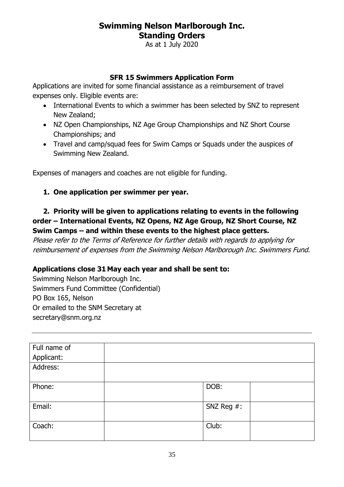As at 1 July 2020

#### **SFR 15 Swimmers Application Form**

Applications are invited for some financial assistance as a reimbursement of travel expenses only. Eligible events are:

- International Events to which a swimmer has been selected by SNZ to represent New Zealand;
- NZ Open Championships, NZ Age Group Championships and NZ Short Course Championships; and
- Travel and camp/squad fees for Swim Camps or Squads under the auspices of Swimming New Zealand.

Expenses of managers and coaches are not eligible for funding.

#### **1. One application per swimmer per year.**

#### **2. Priority will be given to applications relating to events in the following order – International Events, NZ Opens, NZ Age Group, NZ Short Course, NZ Swim Camps – and within these events to the highest place getters.**

Please refer to the Terms of Reference for further details with regards to applying for reimbursement of expenses from the Swimming Nelson Marlborough Inc. Swimmers Fund.

#### **Applications close 31 May each year and shall be sent to:**

Swimming Nelson Marlborough Inc. Swimmers Fund Committee (Confidential) PO Box 165, Nelson Or emailed to the SNM Secretary at secretary@snm.org.nz

| Full name of |               |  |
|--------------|---------------|--|
| Applicant:   |               |  |
| Address:     |               |  |
| Phone:       | DOB:          |  |
| Email:       | SNZ Reg $#$ : |  |
| Coach:       | Club:         |  |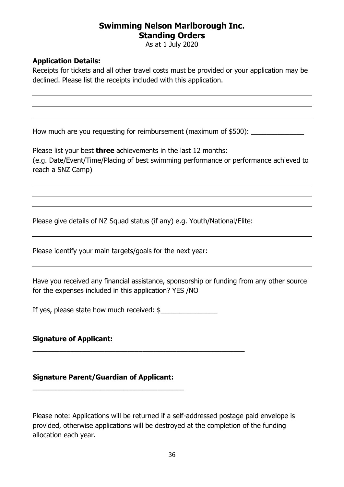As at 1 July 2020

#### **Application Details:**

Receipts for tickets and all other travel costs must be provided or your application may be declined. Please list the receipts included with this application.

How much are you requesting for reimbursement (maximum of \$500):

Please list your best **three** achievements in the last 12 months: (e.g. Date/Event/Time/Placing of best swimming performance or performance achieved to reach a SNZ Camp)

Please give details of NZ Squad status (if any) e.g. Youth/National/Elite:

Please identify your main targets/goals for the next year:

Have you received any financial assistance, sponsorship or funding from any other source for the expenses included in this application? YES /NO

If yes, please state how much received: \$

\_\_\_\_\_\_\_\_\_\_\_\_\_\_\_\_\_\_\_\_\_\_\_\_\_\_\_\_\_\_\_\_\_\_\_\_\_\_\_\_\_\_\_\_\_\_\_\_\_\_\_\_\_\_\_\_

#### **Signature of Applicant:**

#### **Signature Parent/Guardian of Applicant:**

\_\_\_\_\_\_\_\_\_\_\_\_\_\_\_\_\_\_\_\_\_\_\_\_\_\_\_\_\_\_\_\_\_\_\_\_\_\_\_\_

Please note: Applications will be returned if a self-addressed postage paid envelope is provided, otherwise applications will be destroyed at the completion of the funding allocation each year.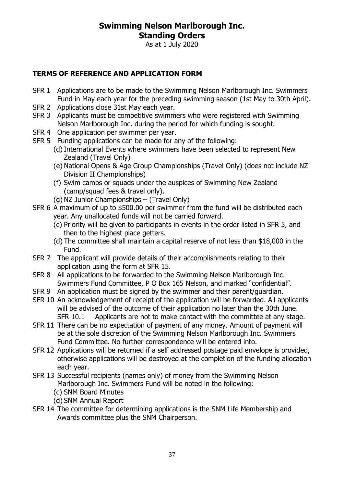As at 1 July 2020

#### **TERMS OF REFERENCE AND APPLICATION FORM**

- SFR 1 Applications are to be made to the Swimming Nelson Marlborough Inc. Swimmers Fund in May each year for the preceding swimming season (1st May to 30th April).
- SFR 2 Applications close 31st May each year.
- SFR 3 Applicants must be competitive swimmers who were registered with Swimming Nelson Marlborough Inc. during the period for which funding is sought.
- SFR 4 One application per swimmer per year.
- SFR 5 Funding applications can be made for any of the following:
	- (d)International Events where swimmers have been selected to represent New Zealand (Travel Only)
	- (e) National Opens & Age Group Championships (Travel Only) (does not include NZ Division II Championships)
	- (f) Swim camps or squads under the auspices of Swimming New Zealand (camp/squad fees & travel only).
	- (g) NZ Junior Championships (Travel Only)
- SFR 6 A maximum of up to \$500.00 per swimmer from the fund will be distributed each year. Any unallocated funds will not be carried forward.
	- (c) Priority will be given to participants in events in the order listed in SFR 5, and then to the highest place getters.
	- (d) The committee shall maintain a capital reserve of not less than \$18,000 in the Fund.
- SFR 7 The applicant will provide details of their accomplishments relating to their application using the form at SFR 15.
- SFR 8 All applications to be forwarded to the Swimming Nelson Marlborough Inc. Swimmers Fund Committee, P O Box 165 Nelson, and marked "confidential".
- SFR 9 An application must be signed by the swimmer and their parent/guardian.
- SFR 10 An acknowledgement of receipt of the application will be forwarded. All applicants will be advised of the outcome of their application no later than the 30th June. SFR 10.1 Applicants are not to make contact with the committee at any stage.
- SFR 11 There can be no expectation of payment of any money. Amount of payment will be at the sole discretion of the Swimming Nelson Marlborough Inc. Swimmers Fund Committee. No further correspondence will be entered into.
- SFR 12 Applications will be returned if a self addressed postage paid envelope is provided, otherwise applications will be destroyed at the completion of the funding allocation each year.
- SFR 13 Successful recipients (names only) of money from the Swimming Nelson Marlborough Inc. Swimmers Fund will be noted in the following:
	- (c) SNM Board Minutes
	- (d) SNM Annual Report
- SFR 14 The committee for determining applications is the SNM Life Membership and Awards committee plus the SNM Chairperson.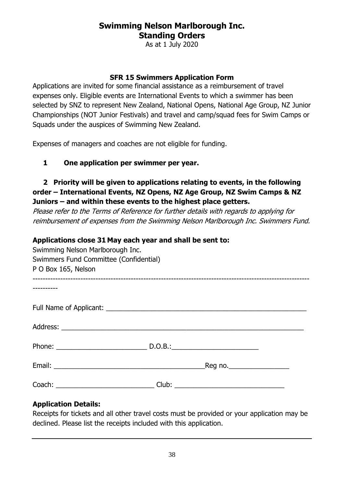As at 1 July 2020

#### **SFR 15 Swimmers Application Form**

Applications are invited for some financial assistance as a reimbursement of travel expenses only. Eligible events are International Events to which a swimmer has been selected by SNZ to represent New Zealand, National Opens, National Age Group, NZ Junior Championships (NOT Junior Festivals) and travel and camp/squad fees for Swim Camps or Squads under the auspices of Swimming New Zealand.

Expenses of managers and coaches are not eligible for funding.

#### **1 One application per swimmer per year.**

#### **2 Priority will be given to applications relating to events, in the following order – International Events, NZ Opens, NZ Age Group, NZ Swim Camps & NZ Juniors – and within these events to the highest place getters.**

Please refer to the Terms of Reference for further details with regards to applying for reimbursement of expenses from the Swimming Nelson Marlborough Inc. Swimmers Fund.

#### **Applications close 31 May each year and shall be sent to:**

| Swimming Nelson Marlborough Inc.<br>Swimmers Fund Committee (Confidential)<br>P O Box 165, Nelson |  |  |
|---------------------------------------------------------------------------------------------------|--|--|
|                                                                                                   |  |  |
|                                                                                                   |  |  |
|                                                                                                   |  |  |
|                                                                                                   |  |  |
|                                                                                                   |  |  |
|                                                                                                   |  |  |

#### **Application Details:**

Receipts for tickets and all other travel costs must be provided or your application may be declined. Please list the receipts included with this application.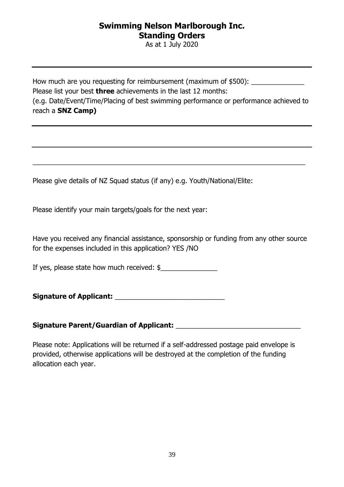As at 1 July 2020

How much are you requesting for reimbursement (maximum of \$500): \_\_\_\_\_\_\_\_\_\_\_\_\_\_\_ Please list your best **three** achievements in the last 12 months: (e.g. Date/Event/Time/Placing of best swimming performance or performance achieved to reach a **SNZ Camp)**

 $\overline{a_1}$  , and the set of the set of the set of the set of the set of the set of the set of the set of the set of the set of the set of the set of the set of the set of the set of the set of the set of the set of the se

Please give details of NZ Squad status (if any) e.g. Youth/National/Elite:

Please identify your main targets/goals for the next year:

Have you received any financial assistance, sponsorship or funding from any other source for the expenses included in this application? YES /NO

If yes, please state how much received: \$\_\_\_\_\_\_\_\_\_\_\_\_\_\_\_

**Signature of Applicant: and all the Signature of Applicant:** 

#### Signature Parent/Guardian of Applicant: **With an allegative Parents and Applicant**

Please note: Applications will be returned if a self-addressed postage paid envelope is provided, otherwise applications will be destroyed at the completion of the funding allocation each year.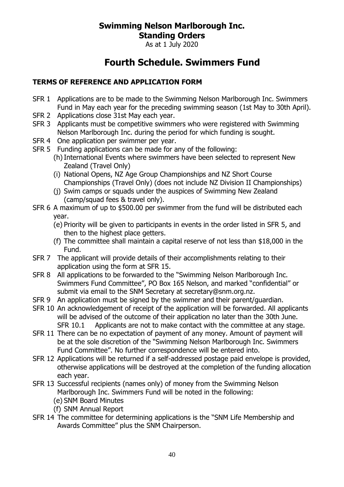As at 1 July 2020

## **Fourth Schedule. Swimmers Fund**

#### **TERMS OF REFERENCE AND APPLICATION FORM**

- SFR 1 Applications are to be made to the Swimming Nelson Marlborough Inc. Swimmers Fund in May each year for the preceding swimming season (1st May to 30th April).
- SFR 2 Applications close 31st May each year.
- SFR 3 Applicants must be competitive swimmers who were registered with Swimming Nelson Marlborough Inc. during the period for which funding is sought.
- SFR 4 One application per swimmer per year.
- SFR 5 Funding applications can be made for any of the following:
	- (h)International Events where swimmers have been selected to represent New Zealand (Travel Only)
	- (i) National Opens, NZ Age Group Championships and NZ Short Course Championships (Travel Only) (does not include NZ Division II Championships)
	- (j) Swim camps or squads under the auspices of Swimming New Zealand (camp/squad fees & travel only).
- SFR 6 A maximum of up to \$500.00 per swimmer from the fund will be distributed each year.
	- (e) Priority will be given to participants in events in the order listed in SFR 5, and then to the highest place getters.
	- (f) The committee shall maintain a capital reserve of not less than \$18,000 in the Fund.
- SFR 7 The applicant will provide details of their accomplishments relating to their application using the form at SFR 15.
- SFR 8 All applications to be forwarded to the "Swimming Nelson Marlborough Inc. Swimmers Fund Committee", PO Box 165 Nelson, and marked "confidential" or submit via email to the SNM Secretary at secretary@snm.org.nz.
- SFR 9 An application must be signed by the swimmer and their parent/guardian.
- SFR 10 An acknowledgement of receipt of the application will be forwarded. All applicants will be advised of the outcome of their application no later than the 30th June. SFR 10.1 Applicants are not to make contact with the committee at any stage.
- SFR 11 There can be no expectation of payment of any money. Amount of payment will be at the sole discretion of the "Swimming Nelson Marlborough Inc. Swimmers Fund Committee". No further correspondence will be entered into.
- SFR 12 Applications will be returned if a self-addressed postage paid envelope is provided, otherwise applications will be destroyed at the completion of the funding allocation each year.
- SFR 13 Successful recipients (names only) of money from the Swimming Nelson Marlborough Inc. Swimmers Fund will be noted in the following:
	- (e) SNM Board Minutes
	- (f) SNM Annual Report
- SFR 14 The committee for determining applications is the "SNM Life Membership and Awards Committee" plus the SNM Chairperson.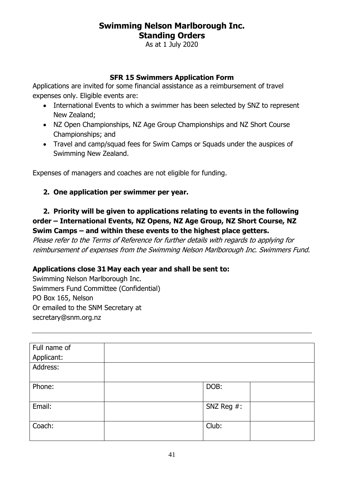As at 1 July 2020

#### **SFR 15 Swimmers Application Form**

Applications are invited for some financial assistance as a reimbursement of travel expenses only. Eligible events are:

- International Events to which a swimmer has been selected by SNZ to represent New Zealand;
- NZ Open Championships, NZ Age Group Championships and NZ Short Course Championships; and
- Travel and camp/squad fees for Swim Camps or Squads under the auspices of Swimming New Zealand.

Expenses of managers and coaches are not eligible for funding.

#### **2. One application per swimmer per year.**

#### **2. Priority will be given to applications relating to events in the following order – International Events, NZ Opens, NZ Age Group, NZ Short Course, NZ Swim Camps – and within these events to the highest place getters.**

Please refer to the Terms of Reference for further details with regards to applying for reimbursement of expenses from the Swimming Nelson Marlborough Inc. Swimmers Fund.

#### **Applications close 31 May each year and shall be sent to:**

Swimming Nelson Marlborough Inc. Swimmers Fund Committee (Confidential) PO Box 165, Nelson Or emailed to the SNM Secretary at secretary@snm.org.nz

| Full name of |            |
|--------------|------------|
| Applicant:   |            |
| Address:     |            |
| Phone:       | DOB:       |
| Email:       | SNZ Reg #: |
| Coach:       | Club:      |